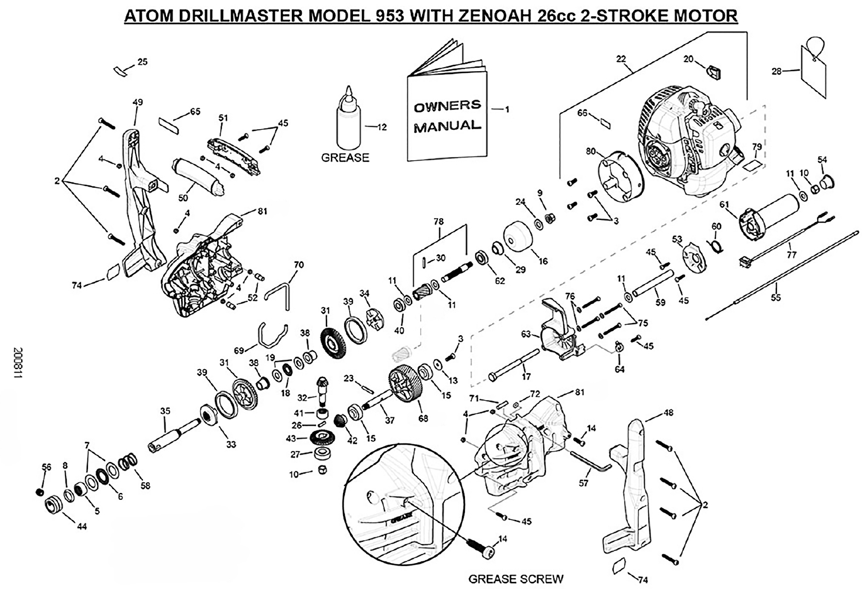## ATOM DRILLMASTER MODEL 953 WITH ZENOAH 26cc 2-STROKE MOTOR



11800Z